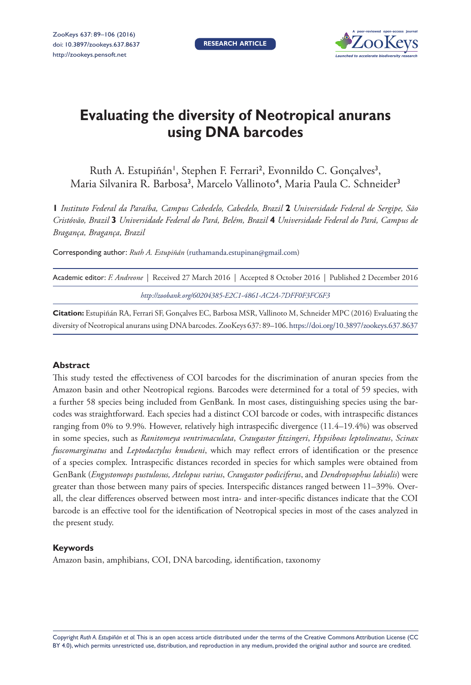**RESEARCH ARTICLE**



# **Evaluating the diversity of Neotropical anurans using DNA barcodes**

Ruth A. Estupiñán<sup>1</sup>, Stephen F. Ferrari<sup>2</sup>, Evonnildo C. Gonçalves<sup>3</sup>, Maria Silvanira R. Barbosa<sup>3</sup>, Marcelo Vallinoto<sup>4</sup>, Maria Paula C. Schneider<sup>3</sup>

**1** *Instituto Federal da Paraíba, Campus Cabedelo, Cabedelo, Brazil* **2** *Universidade Federal de Sergipe, São Cristóvão, Brazil* **3** *Universidade Federal do Pará, Belém, Brazil* **4** *Universidade Federal do Pará, Campus de Bragança, Bragança, Brazil*

Corresponding author: *Ruth A. Estupiñán* ([ruthamanda.estupinan@gmail.com](mailto:ruthamanda.estupinan@gmail.com))

| Academic editor: F. Andreone   Received 27 March 2016   Accepted 8 October 2016   Published 2 December 2016 |                                                         |  |
|-------------------------------------------------------------------------------------------------------------|---------------------------------------------------------|--|
|                                                                                                             | http://zoobank.org/60204385-E2C1-4861-AC2A-7DFF0F3FC6F3 |  |

**Citation:** Estupiñán RA, Ferrari SF, Gonçalves EC, Barbosa MSR, Vallinoto M, Schneider MPC (2016) Evaluating the diversity of Neotropical anurans using DNA barcodes. ZooKeys 637: 89–106.<https://doi.org/10.3897/zookeys.637.8637>

#### **Abstract**

This study tested the effectiveness of COI barcodes for the discrimination of anuran species from the Amazon basin and other Neotropical regions*.* Barcodes were determined for a total of 59 species, with a further 58 species being included from GenBank*.* In most cases, distinguishing species using the barcodes was straightforward*.* Each species had a distinct COI barcode or codes, with intraspecific distances ranging from 0% to 9*.*9%*.* However, relatively high intraspecific divergence (11*.*4–19*.*4%) was observed in some species, such as *Ranitomeya ventrimaculata*, *Craugastor fitzingeri*, *Hypsiboas leptolineatus*, *Scinax fuscomarginatus* and *Leptodactylus knudseni*, which may reflect errors of identification or the presence of a species complex*.* Intraspecific distances recorded in species for which samples were obtained from GenBank (*Engystomops pustulosus, Atelopus varius*, *Craugastor podiciferus*, and *Dendropsophus labialis*) were greater than those between many pairs of species*.* Interspecific distances ranged between 11–39%*.* Overall, the clear differences observed between most intra- and inter-specific distances indicate that the COI barcode is an effective tool for the identification of Neotropical species in most of the cases analyzed in the present study.

#### **Keywords**

Amazon basin, amphibians, COI, DNA barcoding, identification, taxonomy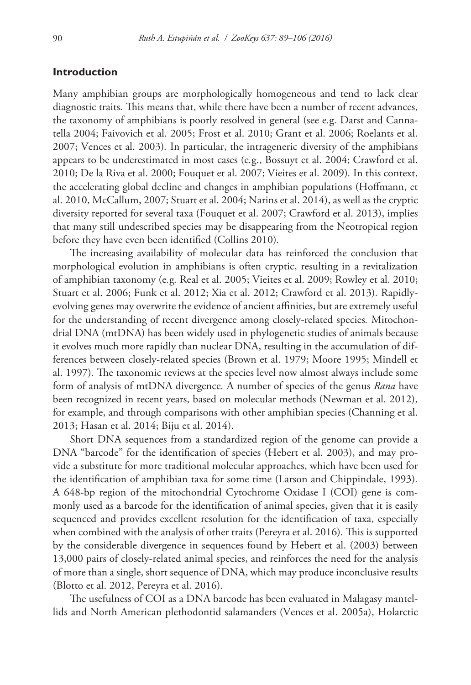# **Introduction**

Many amphibian groups are morphologically homogeneous and tend to lack clear diagnostic traits*.* This means that, while there have been a number of recent advances, the taxonomy of amphibians is poorly resolved in general (see e*.*g*.* Darst and Cannatella 2004; Faivovich et al. 2005; Frost et al. 2010; Grant et al. 2006; Roelants et al. 2007; Vences et al. 2003)*.* In particular, the intrageneric diversity of the amphibians appears to be underestimated in most cases (e*.*g*.*, Bossuyt et al. 2004; Crawford et al. 2010; De la Riva et al. 2000; Fouquet et al. 2007; Vieites et al. 2009)*.* In this context, the accelerating global decline and changes in amphibian populations (Hoffmann, et al. 2010, McCallum, 2007; Stuart et al. 2004; Narins et al. 2014), as well as the cryptic diversity reported for several taxa (Fouquet et al. 2007; Crawford et al. 2013), implies that many still undescribed species may be disappearing from the Neotropical region before they have even been identified (Collins 2010)*.*

The increasing availability of molecular data has reinforced the conclusion that morphological evolution in amphibians is often cryptic, resulting in a revitalization of amphibian taxonomy (e*.*g*.* Real et al. 2005; Vieites et al. 2009; Rowley et al. 2010; Stuart et al. 2006; Funk et al. 2012; Xia et al. 2012; Crawford et al. 2013)*.* Rapidlyevolving genes may overwrite the evidence of ancient affinities, but are extremely useful for the understanding of recent divergence among closely-related species*.* Mitochondrial DNA (mtDNA) has been widely used in phylogenetic studies of animals because it evolves much more rapidly than nuclear DNA, resulting in the accumulation of differences between closely-related species (Brown et al. 1979; Moore 1995; Mindell et al. 1997)*.* The taxonomic reviews at the species level now almost always include some form of analysis of mtDNA divergence*.* A number of species of the genus *Rana* have been recognized in recent years, based on molecular methods (Newman et al. 2012), for example, and through comparisons with other amphibian species (Channing et al. 2013; Hasan et al. 2014; Biju et al. 2014).

Short DNA sequences from a standardized region of the genome can provide a DNA "barcode" for the identification of species (Hebert et al. 2003), and may provide a substitute for more traditional molecular approaches, which have been used for the identification of amphibian taxa for some time (Larson and Chippindale, 1993)*.*  A 648-bp region of the mitochondrial Cytochrome Oxidase I (COI) gene is commonly used as a barcode for the identification of animal species, given that it is easily sequenced and provides excellent resolution for the identification of taxa, especially when combined with the analysis of other traits (Pereyra et al. 2016)*.* This is supported by the considerable divergence in sequences found by Hebert et al. (2003) between 13,000 pairs of closely-related animal species, and reinforces the need for the analysis of more than a single, short sequence of DNA, which may produce inconclusive results (Blotto et al. 2012, Pereyra et al. 2016).

The usefulness of COI as a DNA barcode has been evaluated in Malagasy mantellids and North American plethodontid salamanders (Vences et al. 2005a), Holarctic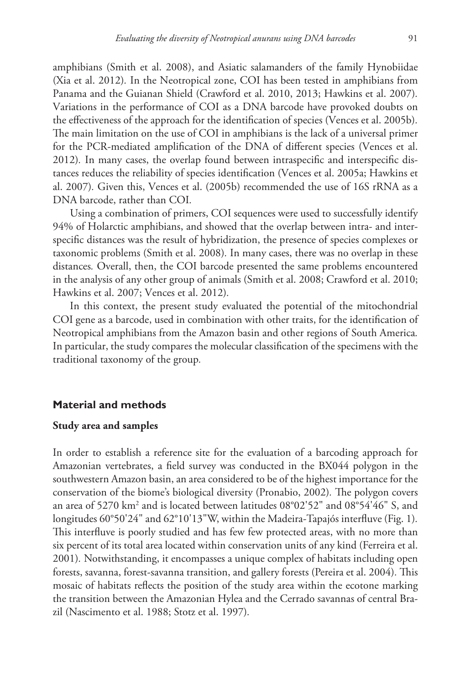amphibians (Smith et al. 2008), and Asiatic salamanders of the family Hynobiidae (Xia et al. 2012)*.* In the Neotropical zone, COI has been tested in amphibians from Panama and the Guianan Shield (Crawford et al. 2010, 2013; Hawkins et al. 2007)*.* Variations in the performance of COI as a DNA barcode have provoked doubts on the effectiveness of the approach for the identification of species (Vences et al. 2005b)*.* The main limitation on the use of COI in amphibians is the lack of a universal primer for the PCR-mediated amplification of the DNA of different species (Vences et al. 2012)*.* In many cases, the overlap found between intraspecific and interspecific distances reduces the reliability of species identification (Vences et al. 2005a; Hawkins et al. 2007)*.* Given this, Vences et al. (2005b) recommended the use of 16S rRNA as a DNA barcode, rather than COI*.*

Using a combination of primers, COI sequences were used to successfully identify 94% of Holarctic amphibians, and showed that the overlap between intra- and interspecific distances was the result of hybridization, the presence of species complexes or taxonomic problems (Smith et al. 2008)*.* In many cases, there was no overlap in these distances*.* Overall, then, the COI barcode presented the same problems encountered in the analysis of any other group of animals (Smith et al. 2008; Crawford et al. 2010; Hawkins et al. 2007; Vences et al. 2012)*.*

In this context, the present study evaluated the potential of the mitochondrial COI gene as a barcode, used in combination with other traits, for the identification of Neotropical amphibians from the Amazon basin and other regions of South America*.* In particular, the study compares the molecular classification of the specimens with the traditional taxonomy of the group*.*

## **Material and methods**

# **Study area and samples**

In order to establish a reference site for the evaluation of a barcoding approach for Amazonian vertebrates, a field survey was conducted in the BX044 polygon in the southwestern Amazon basin, an area considered to be of the highest importance for the conservation of the biome's biological diversity (Pronabio, 2002)*.* The polygon covers an area of 5270 km<sup>2</sup> and is located between latitudes 08°02'52" and 08°54'46" S, and longitudes 60°50'24" and 62°10'13"W, within the Madeira-Tapajós interfluve (Fig. 1)*.* This interfluve is poorly studied and has few few protected areas, with no more than six percent of its total area located within conservation units of any kind (Ferreira et al. 2001)*.* Notwithstanding, it encompasses a unique complex of habitats including open forests, savanna, forest-savanna transition, and gallery forests (Pereira et al. 2004)*.* This mosaic of habitats reflects the position of the study area within the ecotone marking the transition between the Amazonian Hylea and the Cerrado savannas of central Brazil (Nascimento et al. 1988; Stotz et al. 1997)*.*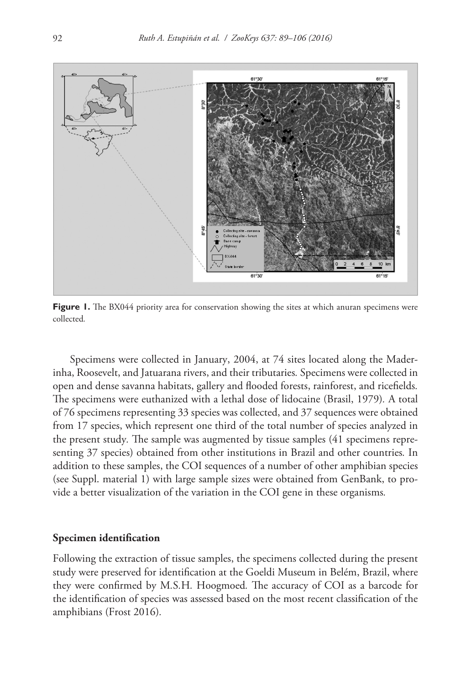

**Figure 1.** The BX044 priority area for conservation showing the sites at which anuran specimens were collected*.*

Specimens were collected in January, 2004, at 74 sites located along the Maderinha, Roosevelt, and Jatuarana rivers, and their tributaries*.* Specimens were collected in open and dense savanna habitats, gallery and flooded forests, rainforest, and ricefields*.* The specimens were euthanized with a lethal dose of lidocaine (Brasil, 1979)*.* A total of 76 specimens representing 33 species was collected, and 37 sequences were obtained from 17 species, which represent one third of the total number of species analyzed in the present study*.* The sample was augmented by tissue samples (41 specimens representing 37 species) obtained from other institutions in Brazil and other countries*.* In addition to these samples, the COI sequences of a number of other amphibian species (see Suppl. material 1) with large sample sizes were obtained from GenBank, to provide a better visualization of the variation in the COI gene in these organisms*.*

## **Specimen identification**

Following the extraction of tissue samples, the specimens collected during the present study were preserved for identification at the Goeldi Museum in Belém, Brazil, where they were confirmed by M*.*S*.*H*.* Hoogmoed*.* The accuracy of COI as a barcode for the identification of species was assessed based on the most recent classification of the amphibians (Frost 2016)*.*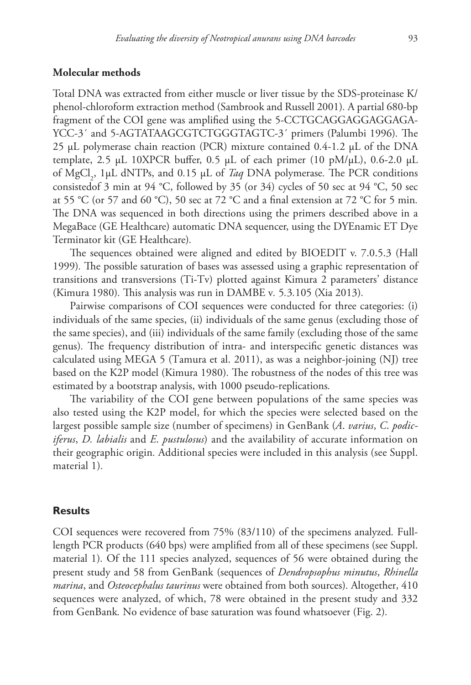## **Molecular methods**

Total DNA was extracted from either muscle or liver tissue by the SDS-proteinase K/ phenol-chloroform extraction method (Sambrook and Russell 2001)*.* A partial 680-bp fragment of the COI gene was amplified using the 5-CCTGCAGGAGGAGGAGA-YCC-3´ and 5-AGTATAAGCGTCTGGGTAGTC-3´ primers (Palumbi 1996)*.* The 25 µL polymerase chain reaction (PCR) mixture contained 0*.*4-1*.*2 µL of the DNA template, 2*.*5 µL 10XPCR buffer, 0*.*5 µL of each primer (10 pM/µL), 0*.*6-2.0 µL of MgCl2 , 1µL dNTPs, and 0*.*15 µL of *Taq* DNA polymerase*.* The PCR conditions consistedof 3 min at 94 °C, followed by 35 (or 34) cycles of 50 sec at 94 °C, 50 sec at 55 °C (or 57 and 60 °C), 50 sec at 72 °C and a final extension at 72 °C for 5 min*.* The DNA was sequenced in both directions using the primers described above in a MegaBace (GE Healthcare) automatic DNA sequencer, using the DYEnamic ET Dye Terminator kit (GE Healthcare)*.*

The sequences obtained were aligned and edited by BIOEDIT v. 7.0.5.3 (Hall 1999)*.* The possible saturation of bases was assessed using a graphic representation of transitions and transversions (Ti-Tv) plotted against Kimura 2 parameters' distance (Kimura 1980)*.* This analysis was run in DAMBE v*.* 5*.*3*.*105 (Xia 2013)*.*

Pairwise comparisons of COI sequences were conducted for three categories: (i) individuals of the same species, (ii) individuals of the same genus (excluding those of the same species), and (iii) individuals of the same family (excluding those of the same genus)*.* The frequency distribution of intra- and interspecific genetic distances was calculated using MEGA 5 (Tamura et al. 2011), as was a neighbor-joining (NJ) tree based on the K2P model (Kimura 1980)*.* The robustness of the nodes of this tree was estimated by a bootstrap analysis, with 1000 pseudo-replications*.*

The variability of the COI gene between populations of the same species was also tested using the K2P model, for which the species were selected based on the largest possible sample size (number of specimens) in GenBank (*A*. *varius*, *C*. *podiciferus*, *D. labialis* and *E*. *pustulosus*) and the availability of accurate information on their geographic origin*.* Additional species were included in this analysis (see Suppl. material 1)*.*

# **Results**

COI sequences were recovered from 75% (83/110) of the specimens analyzed*.* Fulllength PCR products (640 bps) were amplified from all of these specimens (see Suppl. material 1)*.* Of the 111 species analyzed, sequences of 56 were obtained during the present study and 58 from GenBank (sequences of *Dendropsophus minutus*, *Rhinella marina*, and *Osteocephalus taurinus* were obtained from both sources)*.* Altogether, 410 sequences were analyzed, of which, 78 were obtained in the present study and 332 from GenBank*.* No evidence of base saturation was found whatsoever (Fig. 2)*.*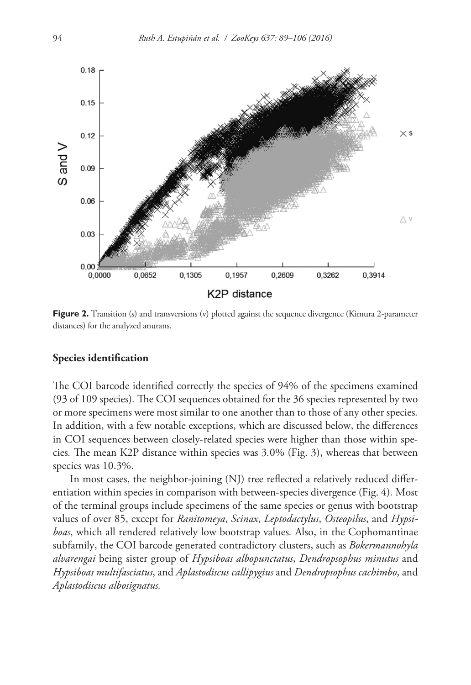

**Figure 2.** Transition (s) and transversions (v) plotted against the sequence divergence (Kimura 2-parameter distances) for the analyzed anurans.

## **Species identification**

The COI barcode identified correctly the species of 94% of the specimens examined (93 of 109 species)*.* The COI sequences obtained for the 36 species represented by two or more specimens were most similar to one another than to those of any other species*.* In addition, with a few notable exceptions, which are discussed below, the differences in COI sequences between closely-related species were higher than those within species*.* The mean K2P distance within species was 3*.*0% (Fig. 3), whereas that between species was 10.3%.

In most cases, the neighbor-joining (NJ) tree reflected a relatively reduced differentiation within species in comparison with between-species divergence (Fig. 4)*.* Most of the terminal groups include specimens of the same species or genus with bootstrap values of over 85, except for *Ranitomeya*, *Scinax*, *Leptodactylus*, *Osteopilus*, and *Hypsiboas*, which all rendered relatively low bootstrap values*.* Also, in the Cophomantinae subfamily, the COI barcode generated contradictory clusters, such as *Bokermannohyla alvarengai* being sister group of *Hypsiboas albopunctatus*, *Dendropsophus minutus* and *Hypsiboas multifasciatus*, and *Aplastodiscus callipygius* and *Dendropsophus cachimbo*, and *Aplastodiscus albosignatus.*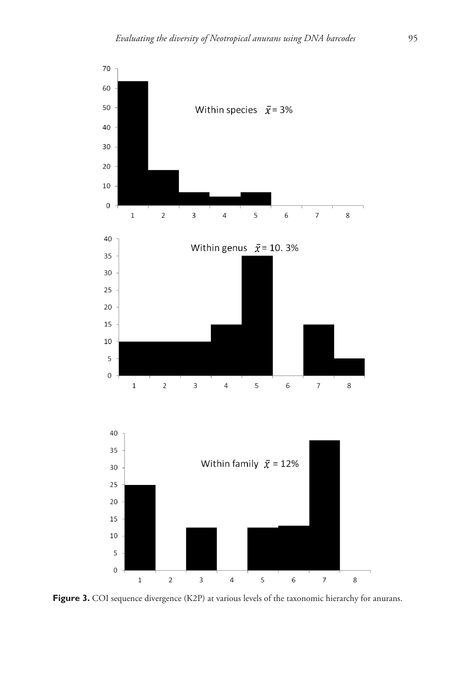

Figure 3. COI sequence divergence (K2P) at various levels of the taxonomic hierarchy for anurans.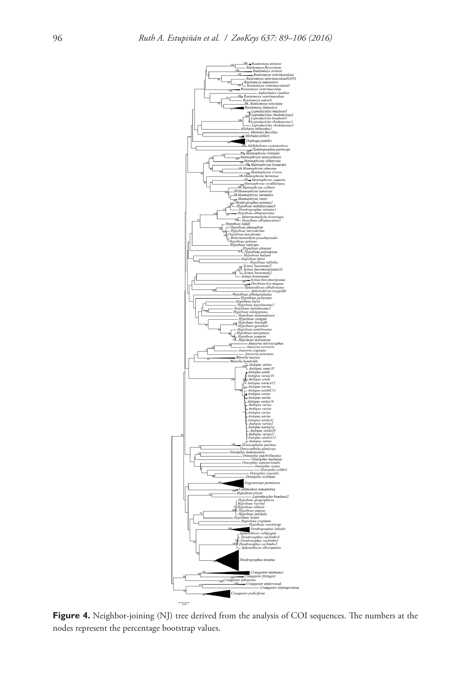

Figure 4. Neighbor-joining (NJ) tree derived from the analysis of COI sequences. The numbers at the nodes represent the percentage bootstrap values.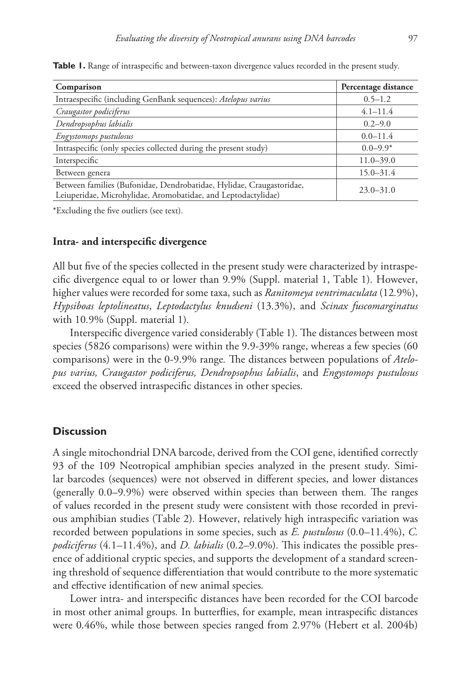| Comparison                                                                                                                            | Percentage distance |
|---------------------------------------------------------------------------------------------------------------------------------------|---------------------|
| Intraespecific (including GenBank sequences): Atelopus varius                                                                         | $0.5 - 1.2$         |
| Craugastor podiciferus                                                                                                                | $4.1 - 11.4$        |
| Dendropsophus labialis                                                                                                                | $0.2 - 9.0$         |
| Engystomops pustulosus                                                                                                                | $0.0 - 11.4$        |
| Intraspecific (only species collected during the present study)                                                                       | $0.0 - 9.9*$        |
| Interspecific                                                                                                                         | $11.0 - 39.0$       |
| Between genera                                                                                                                        | $15.0 - 31.4$       |
| Between families (Bufonidae, Dendrobatidae, Hylidae, Craugastoridae,<br>Leiuperidae, Microhylidae, Aromobatidae, and Leptodactylidae) | $23.0 - 31.0$       |

**Table 1.** Range of intraspecific and between-taxon divergence values recorded in the present study*.*

\*Excluding the five outliers (see text)*.*

## **Intra- and interspecific divergence**

All but five of the species collected in the present study were characterized by intraspecific divergence equal to or lower than 9*.*9% (Suppl. material 1, Table 1)*.* However, higher values were recorded for some taxa, such as *Ranitomeya ventrimaculata* (12*.*9%), *Hypsiboas leptolineatus*, *Leptodactylus knudseni* (13*.*3%), and *Scinax fuscomarginatus* with 10*.*9% (Suppl. material 1)*.*

Interspecific divergence varied considerably (Table 1)*.* The distances between most species (5826 comparisons) were within the 9.9-39% range, whereas a few species (60 comparisons) were in the 0-9.9% range*.* The distances between populations of *Atelopus varius, Craugastor podiciferus, Dendropsophus labialis*, and *Engystomops pustulosus*  exceed the observed intraspecific distances in other species*.*

## **Discussion**

A single mitochondrial DNA barcode, derived from the COI gene, identified correctly 93 of the 109 Neotropical amphibian species analyzed in the present study*.* Similar barcodes (sequences) were not observed in different species, and lower distances (generally 0*.*0–9*.*9%) were observed within species than between them*.* The ranges of values recorded in the present study were consistent with those recorded in previous amphibian studies (Table 2)*.* However, relatively high intraspecific variation was recorded between populations in some species, such as *E. pustulosus* (0*.*0–11*.*4%), *C. podiciferus* (4*.*1–11*.*4%), and *D. labialis* (0*.*2–9*.*0%)*.* This indicates the possible presence of additional cryptic species, and supports the development of a standard screening threshold of sequence differentiation that would contribute to the more systematic and effective identification of new animal species*.*

Lower intra- and interspecific distances have been recorded for the COI barcode in most other animal groups*.* In butterflies, for example, mean intraspecific distances were 0*.*46%, while those between species ranged from 2*.*97% (Hebert et al. 2004b)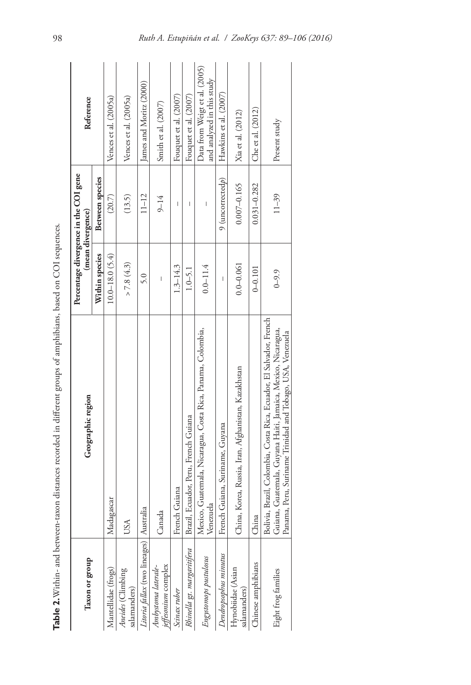|                                            | Table 2. Within- and between-taxon distances recorded in different groups of amphibians, based on COI sequences.                                                                                  |                    |                                                            |                                                             |
|--------------------------------------------|---------------------------------------------------------------------------------------------------------------------------------------------------------------------------------------------------|--------------------|------------------------------------------------------------|-------------------------------------------------------------|
| Taxon or group                             | Geographic region                                                                                                                                                                                 |                    | Percentage divergence in the COI gene<br>(mean divergence) | Reference                                                   |
|                                            |                                                                                                                                                                                                   | Within species     | <b>Between</b> species                                     |                                                             |
| Mantellidae (frogs)                        | Madagascar                                                                                                                                                                                        | $10.0 - 18.0(5.4)$ | (20.7)                                                     | Vences et al. (2005a)                                       |
| Aneides (Climbing<br>salamanders)          | USA                                                                                                                                                                                               | > 7.8(4.3)         | (13.5)                                                     | Vences et al. (2005a)                                       |
| Litoria fallax (two lineages)              | Australia                                                                                                                                                                                         | 5.0                | $11 - 12$                                                  | James and Moritz (2000)                                     |
| Ambystoma laterale-<br>jeffesonium complex | Canada                                                                                                                                                                                            | I                  | $9 - 14$                                                   | Smith et al. (2007)                                         |
| Scinax ruber                               | French Guiana                                                                                                                                                                                     | $1.3 - 14.3$       | $\overline{\phantom{a}}$                                   | Fouquet et al. $(2007)$                                     |
| Rhinella gr. margaritifera                 | Brazil, Ecuador, Peru, French Guiana                                                                                                                                                              | $1.0 - 5.1$        | I                                                          | Fouquet et al. (2007)                                       |
| Engystomops pustulosus                     | Mexico, Guatemala, Nicaragua, Costa Rica, Panama, Colombia,<br>Venezuela                                                                                                                          | $0.0 - 11.4$       | Ī                                                          | Data from Weigt et al. (2005)<br>and analyzed in this study |
| Dendropsophus minutus                      | French Guiana, Suriname, Guyana                                                                                                                                                                   | I                  | $9$ (uncorrected $p$ )                                     | Hawkins et al. (2007)                                       |
| Hynobiidae (Asian<br>salamanders)          | China, Korea, Russia, Iran, Afghanistan, Kazakhstan                                                                                                                                               | $0.0 - 0.061$      | $0.007 - 0.165$                                            | Xia et al. (2012)                                           |
| Chinese amphibians                         | China                                                                                                                                                                                             | $0 - 0.101$        | $0.031 - 0.282$                                            | Che et al. (2012)                                           |
| Eight frog families                        | Bolivia, Brazil, Colombia, Costa Rica, Ecuador, El Salvador, French<br>Guiana, Guatemala, Guyana Haiti, Jamaica, Mexico, Nicaragua,<br>Panama, Peru, Suriname Trinidad and Tobago, USA, Venezuela | $0 - 9.9$          | $11 - 39$                                                  | Present study                                               |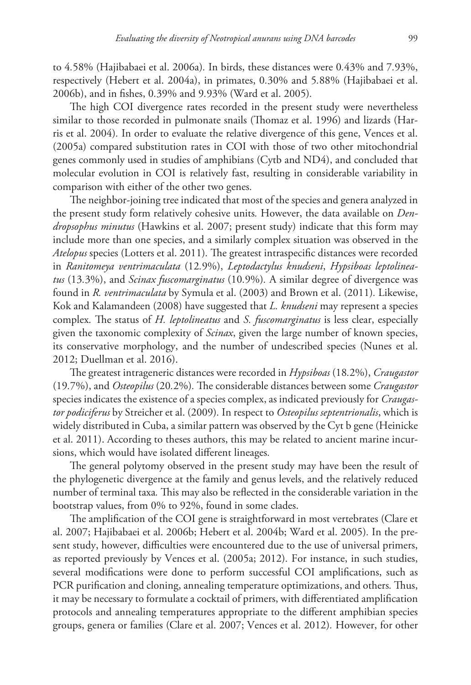to 4*.*58% (Hajibabaei et al. 2006a)*.* In birds, these distances were 0*.*43% and 7*.*93%, respectively (Hebert et al. 2004a), in primates, 0*.*30% and 5*.*88% (Hajibabaei et al. 2006b), and in fishes, 0*.*39% and 9*.*93% (Ward et al. 2005)*.*

The high COI divergence rates recorded in the present study were nevertheless similar to those recorded in pulmonate snails (Thomaz et al. 1996) and lizards (Harris et al. 2004)*.* In order to evaluate the relative divergence of this gene, Vences et al. (2005a) compared substitution rates in COI with those of two other mitochondrial genes commonly used in studies of amphibians (Cytb and ND4), and concluded that molecular evolution in COI is relatively fast, resulting in considerable variability in comparison with either of the other two genes*.*

The neighbor-joining tree indicated that most of the species and genera analyzed in the present study form relatively cohesive units*.* However, the data available on *Dendropsophus minutus* (Hawkins et al. 2007; present study) indicate that this form may include more than one species, and a similarly complex situation was observed in the *Atelopus* species (Lotters et al. 2011)*.* The greatest intraspecific distances were recorded in *Ranitomeya ventrimaculata* (12*.*9%), *Leptodactylus knudseni*, *Hypsiboas leptolineatus* (13*.*3%), and *Scinax fuscomarginatus* (10*.*9%)*.* A similar degree of divergence was found in *R. ventrimaculata* by Symula et al. (2003) and Brown et al. (2011)*.* Likewise, Kok and Kalamandeen (2008) have suggested that *L. knudseni* may represent a species complex*.* The status of *H. leptolineatus* and *S. fuscomarginatus* is less clear, especially given the taxonomic complexity of *Scinax*, given the large number of known species, its conservative morphology, and the number of undescribed species (Nunes et al. 2012; Duellman et al. 2016).

The greatest intrageneric distances were recorded in *Hypsiboas* (18*.*2%), *Craugastor* (19*.*7%), and *Osteopilus* (20*.*2%)*.* The considerable distances between some *Craugastor* species indicates the existence of a species complex, as indicated previously for *Craugastor podiciferus* by Streicher et al. (2009)*.* In respect to *Osteopilus septentrionalis*, which is widely distributed in Cuba, a similar pattern was observed by the Cyt b gene (Heinicke et al. 2011). According to theses authors, this may be related to ancient marine incursions, which would have isolated different lineages*.*

The general polytomy observed in the present study may have been the result of the phylogenetic divergence at the family and genus levels, and the relatively reduced number of terminal taxa*.* This may also be reflected in the considerable variation in the bootstrap values, from 0% to 92%, found in some clades.

The amplification of the COI gene is straightforward in most vertebrates (Clare et al. 2007; Hajibabaei et al. 2006b; Hebert et al. 2004b; Ward et al. 2005)*.* In the present study, however, difficulties were encountered due to the use of universal primers, as reported previously by Vences et al. (2005a; 2012)*.* For instance, in such studies, several modifications were done to perform successful COI amplifications, such as PCR purification and cloning, annealing temperature optimizations, and others*.* Thus, it may be necessary to formulate a cocktail of primers, with differentiated amplification protocols and annealing temperatures appropriate to the different amphibian species groups, genera or families (Clare et al. 2007; Vences et al. 2012)*.* However, for other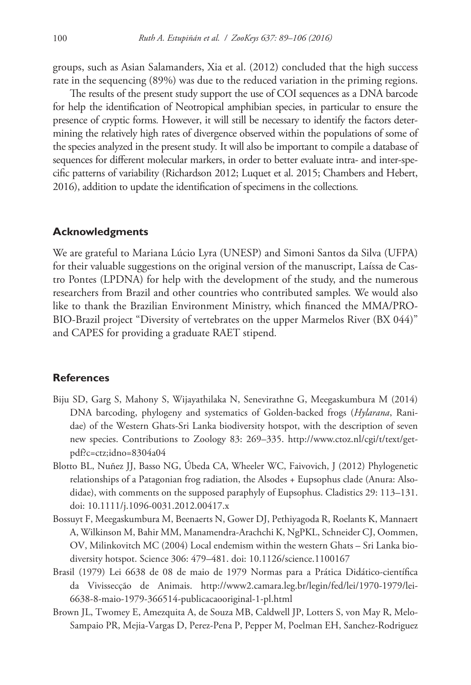groups, such as Asian Salamanders, Xia et al. (2012) concluded that the high success rate in the sequencing (89%) was due to the reduced variation in the priming regions.

The results of the present study support the use of COI sequences as a DNA barcode for help the identification of Neotropical amphibian species, in particular to ensure the presence of cryptic forms*.* However, it will still be necessary to identify the factors determining the relatively high rates of divergence observed within the populations of some of the species analyzed in the present study*.* It will also be important to compile a database of sequences for different molecular markers, in order to better evaluate intra- and inter-specific patterns of variability (Richardson 2012; Luquet et al. 2015; Chambers and Hebert, 2016), addition to update the identification of specimens in the collections*.*

## **Acknowledgments**

We are grateful to Mariana Lúcio Lyra (UNESP) and Simoni Santos da Silva (UFPA) for their valuable suggestions on the original version of the manuscript, Laíssa de Castro Pontes (LPDNA) for help with the development of the study, and the numerous researchers from Brazil and other countries who contributed samples*.* We would also like to thank the Brazilian Environment Ministry, which financed the MMA/PRO-BIO-Brazil project "Diversity of vertebrates on the upper Marmelos River (BX 044)" and CAPES for providing a graduate RAET stipend*.*

# **References**

- Biju SD, Garg S, Mahony S, Wijayathilaka N, Senevirathne G, Meegaskumbura M (2014) DNA barcoding, phylogeny and systematics of Golden-backed frogs (*Hylarana*, Ranidae) of the Western Ghats-Sri Lanka biodiversity hotspot, with the description of seven new species. Contributions to Zoology 83: 269–335. [http://www.ctoz.nl/cgi/t/text/get](http://www.ctoz.nl/cgi/t/text/get-pdf?c=ctz)[pdf?c=ctz;](http://www.ctoz.nl/cgi/t/text/get-pdf?c=ctz)idno=8304a04
- Blotto BL, Nuñez JJ, Basso NG, Úbeda CA, Wheeler WC, Faivovich, J (2012) Phylogenetic relationships of a Patagonian frog radiation, the Alsodes + Eupsophus clade (Anura: Alsodidae), with comments on the supposed paraphyly of Eupsophus. Cladistics 29: 113–131. [doi: 10.1111/j.1096-0031.2012.00417.x](https://doi.org/10.1111/j.1096-0031.2012.00417.x)
- Bossuyt F, Meegaskumbura M, Beenaerts N, Gower DJ, Pethiyagoda R, Roelants K, Mannaert A, Wilkinson M, Bahir MM, Manamendra-Arachchi K, NgPKL, Schneider CJ, Oommen, OV, Milinkovitch MC (2004) Local endemism within the western Ghats – Sri Lanka biodiversity hotspot. Science 306: 479–481. [doi: 10.1126/science.1100167](https://doi.org/10.1126/science.1100167)
- Brasil (1979) Lei 6638 de 08 de maio de 1979 Normas para a Prática Didático-científica da Vivissecção de Animais. [http://www2.camara.leg.br/legin/fed/lei/1970-1979/lei-](http://www2.camara.leg.br/legin/fed/lei/1970-1979/lei-6638-8-maio-1979-366514-publicacaooriginal-1-pl.html)[6638-8-maio-1979-366514-publicacaooriginal-1-pl.html](http://www2.camara.leg.br/legin/fed/lei/1970-1979/lei-6638-8-maio-1979-366514-publicacaooriginal-1-pl.html)
- Brown JL, Twomey E, Amezquita A, de Souza MB, Caldwell JP, Lotters S, von May R, Melo-Sampaio PR, Mejia-Vargas D, Perez-Pena P, Pepper M, Poelman EH, Sanchez-Rodriguez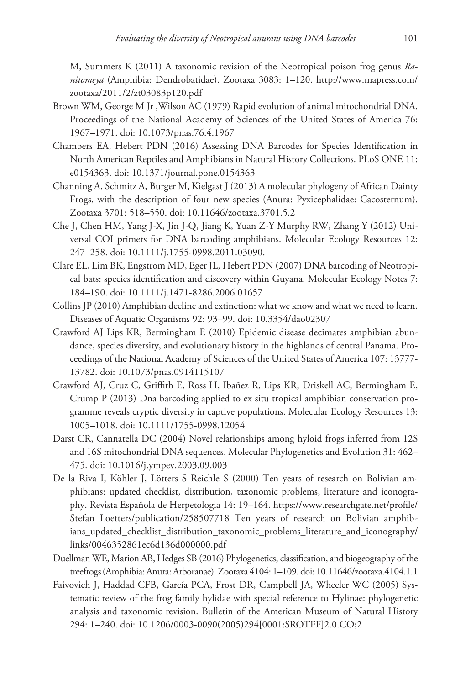M, Summers K (2011) A taxonomic revision of the Neotropical poison frog genus *Ranitomeya* (Amphibia: Dendrobatidae). Zootaxa 3083: 1–120. [http://www.mapress.com/](http://www.mapress.com/zootaxa/2011/2/zt03083p120.pdf) [zootaxa/2011/2/zt03083p120.pdf](http://www.mapress.com/zootaxa/2011/2/zt03083p120.pdf)

- Brown WM, George M Jr ,Wilson AC (1979) Rapid evolution of animal mitochondrial DNA. Proceedings of the National Academy of Sciences of the United States of America 76: 1967–1971. [doi: 10.1073/pnas.76.4.1967](https://doi.org/10.1073/pnas.76.4.1967)
- Chambers EA, Hebert PDN (2016) Assessing DNA Barcodes for Species Identification in North American Reptiles and Amphibians in Natural History Collections. PLoS ONE 11: e0154363. [doi: 10.1371/journal.pone.0154363](https://doi.org/10.1371/journal.pone.0154363)
- Channing A, Schmitz A, Burger M, Kielgast J (2013) A molecular phylogeny of African Dainty Frogs, with the description of four new species (Anura: Pyxicephalidae: Cacosternum). Zootaxa 3701: 518–550. [doi: 10.11646/zootaxa.3701.5.2](https://doi.org/10.11646/zootaxa.3701.5.2)
- Che J, Chen HM, Yang J-X, Jin J-Q, Jiang K, Yuan Z-Y Murphy RW, Zhang Y (2012) Universal COI primers for DNA barcoding amphibians. Molecular Ecology Resources 12: 247–258. [doi: 10.1111/j.1755-0998.2011.03090.](https://doi.org/10.1111/j.1755-0998.2011.03090)
- Clare EL, Lim BK, Engstrom MD, Eger JL, Hebert PDN (2007) DNA barcoding of Neotropical bats: species identification and discovery within Guyana. Molecular Ecology Notes 7: 184–190. [doi: 10.1111/j.1471-8286.2006.01657](https://doi.org/10.1111/j.1471-8286.2006.01657)
- Collins JP (2010) Amphibian decline and extinction: what we know and what we need to learn. Diseases of Aquatic Organisms 92: 93–99. [doi: 10.3354/dao02307](https://doi.org/10.3354/dao02307)
- Crawford AJ Lips KR, Bermingham E (2010) Epidemic disease decimates amphibian abundance, species diversity, and evolutionary history in the highlands of central Panama. Proceedings of the National Academy of Sciences of the United States of America 107: 13777- 13782. [doi: 10.1073/pnas.0914115107](https://doi.org/10.1073/pnas.0914115107)
- Crawford AJ, Cruz C, Griffith E, Ross H, Ibañez R, Lips KR, Driskell AC, Bermingham E, Crump P (2013) Dna barcoding applied to ex situ tropical amphibian conservation programme reveals cryptic diversity in captive populations. Molecular Ecology Resources 13: 1005–1018. [doi: 10.1111/1755-0998.12054](https://doi.org/10.1111/1755-0998.12054)
- Darst CR, Cannatella DC (2004) Novel relationships among hyloid frogs inferred from 12S and 16S mitochondrial DNA sequences. Molecular Phylogenetics and Evolution 31: 462– 475. [doi: 10.1016/j.ympev.2003.09.003](https://doi.org/10.1016/j.ympev.2003.09.003)
- De la Riva I, Köhler J, Lötters S Reichle S (2000) Ten years of research on Bolivian amphibians: updated checklist, distribution, taxonomic problems, literature and iconography. Revista Española de Herpetologia 14: 19–164. [https://www.researchgate.net/profile/](https://www.researchgate.net/profile/Stefan_Loetters/publication/258507718_Ten_years_of_research_on_Bolivian_amphibians_updated_checklist_distribution_taxonomic_problems_literature_and_iconography/links/0046352861ec6d136d000000.pdf) [Stefan\\_Loetters/publication/258507718\\_Ten\\_years\\_of\\_research\\_on\\_Bolivian\\_amphib](https://www.researchgate.net/profile/Stefan_Loetters/publication/258507718_Ten_years_of_research_on_Bolivian_amphibians_updated_checklist_distribution_taxonomic_problems_literature_and_iconography/links/0046352861ec6d136d000000.pdf)[ians\\_updated\\_checklist\\_distribution\\_taxonomic\\_problems\\_literature\\_and\\_iconography/](https://www.researchgate.net/profile/Stefan_Loetters/publication/258507718_Ten_years_of_research_on_Bolivian_amphibians_updated_checklist_distribution_taxonomic_problems_literature_and_iconography/links/0046352861ec6d136d000000.pdf) [links/0046352861ec6d136d000000.pdf](https://www.researchgate.net/profile/Stefan_Loetters/publication/258507718_Ten_years_of_research_on_Bolivian_amphibians_updated_checklist_distribution_taxonomic_problems_literature_and_iconography/links/0046352861ec6d136d000000.pdf)
- Duellman WE, Marion AB, Hedges SB (2016) Phylogenetics, classification, and biogeography of the treefrogs (Amphibia: Anura: Arboranae). Zootaxa 4104: 1–109. [doi: 10.11646/zootaxa.4104.1.1](https://doi.org/10.11646/zootaxa.4104.1.1)
- Faivovich J, Haddad CFB, García PCA, Frost DR, Campbell JA, Wheeler WC (2005) Systematic review of the frog family hylidae with special reference to Hylinae: phylogenetic analysis and taxonomic revision. Bulletin of the American Museum of Natural History 294: 1–240. [doi: 10.1206/0003-0090\(2005\)294\[0001:SROTFF\]2.0.CO;2](https://doi.org/10.1206/0003-0090(2005)294%5B0001:SROTFF%5D2.0.CO;2)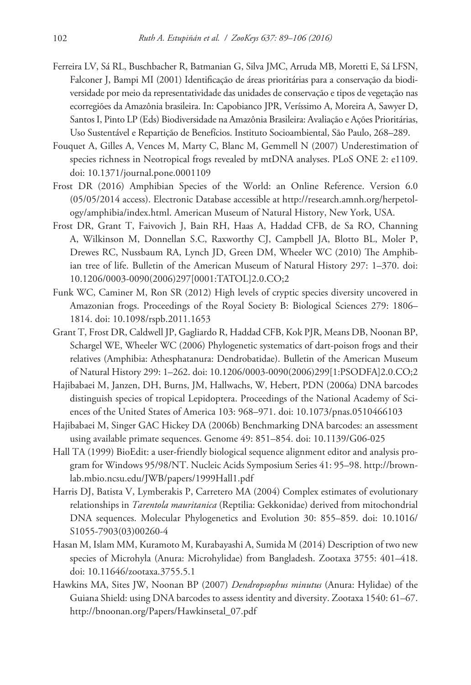- Ferreira LV, Sá RL, Buschbacher R, Batmanian G, Silva JMC, Arruda MB, Moretti E, Sá LFSN, Falconer J, Bampi MI (2001) Identificação de áreas prioritárias para a conservação da biodiversidade por meio da representatividade das unidades de conservação e tipos de vegetação nas ecorregiões da Amazônia brasileira. In: Capobianco JPR, Veríssimo A, Moreira A, Sawyer D, Santos I, Pinto LP (Eds) Biodiversidade na Amazônia Brasileira: Avaliação e Ações Prioritárias, Uso Sustentável e Repartição de Benefícios. Instituto Socioambiental, São Paulo, 268–289.
- Fouquet A, Gilles A, Vences M, Marty C, Blanc M, Gemmell N (2007) Underestimation of species richness in Neotropical frogs revealed by mtDNA analyses. PLoS ONE 2: e1109. [doi: 10.1371/journal.pone.0001109](https://doi.org/10.1371/journal.pone.0001109)
- Frost DR (2016) Amphibian Species of the World: an Online Reference. Version 6.0 (05/05/2014 access). Electronic Database accessible at [http://research.amnh.org/herpetol](http://research.amnh.org/herpetology/amphibia/index.html)[ogy/amphibia/index.html](http://research.amnh.org/herpetology/amphibia/index.html). American Museum of Natural History, New York, USA.
- Frost DR, Grant T, Faivovich J, Bain RH, Haas A, Haddad CFB, de Sa RO, Channing A, Wilkinson M, Donnellan S.C, Raxworthy CJ, Campbell JA, Blotto BL, Moler P, Drewes RC, Nussbaum RA, Lynch JD, Green DM, Wheeler WC (2010) The Amphibian tree of life. Bulletin of the American Museum of Natural History 297: 1–370. [doi:](https://doi.org/10.1206/0003-0090(2006)297%5B0001:TATOL%5D2.0.CO;2) [10.1206/0003-0090\(2006\)297\[0001:TATOL\]2.0.CO;2](https://doi.org/10.1206/0003-0090(2006)297%5B0001:TATOL%5D2.0.CO;2)
- Funk WC, Caminer M, Ron SR (2012) High levels of cryptic species diversity uncovered in Amazonian frogs. Proceedings of the Royal Society B: Biological Sciences 279: 1806– 1814. [doi: 10.1098/rspb.2011.1653](https://doi.org/10.1098/rspb.2011.1653)
- Grant T, Frost DR, Caldwell JP, Gagliardo R, Haddad CFB, Kok PJR, Means DB, Noonan BP, Schargel WE, Wheeler WC (2006) Phylogenetic systematics of dart-poison frogs and their relatives (Amphibia: Athesphatanura: Dendrobatidae). Bulletin of the American Museum of Natural History 299: 1–262. [doi: 10.1206/0003-0090\(2006\)299\[1:PSODFA\]2.0.CO;2](https://doi.org/10.1206/0003-0090(2006)299%5B1:PSODFA%5D2.0.CO;2)
- Hajibabaei M, Janzen, DH, Burns, JM, Hallwachs, W, Hebert, PDN (2006a) DNA barcodes distinguish species of tropical Lepidoptera. Proceedings of the National Academy of Sciences of the United States of America 103: 968–971. [doi: 10.1073/pnas.0510466103](https://doi.org/10.1073/pnas.0510466103)
- Hajibabaei M, Singer GAC Hickey DA (2006b) Benchmarking DNA barcodes: an assessment using available primate sequences. Genome 49: 851–854. [doi: 10.1139/G06-025](https://doi.org/10.1139/G06-025)
- Hall TA (1999) BioEdit: a user-friendly biological sequence alignment editor and analysis program for Windows 95/98/NT. Nucleic Acids Symposium Series 41: 95–98. [http://brown](http://brownlab.mbio.ncsu.edu/JWB/papers/1999Hall1.pdf)[lab.mbio.ncsu.edu/JWB/papers/1999Hall1.pdf](http://brownlab.mbio.ncsu.edu/JWB/papers/1999Hall1.pdf)
- Harris DJ, Batista V, Lymberakis P, Carretero MA (2004) Complex estimates of evolutionary relationships in *Tarentola mauritanica* (Reptilia: Gekkonidae) derived from mitochondrial DNA sequences. Molecular Phylogenetics and Evolution 30: 855–859. [doi: 10.1016/](https://doi.org/10.1016/S1055-7903(03)00260-4) [S1055-7903\(03\)00260-4](https://doi.org/10.1016/S1055-7903(03)00260-4)
- Hasan M, Islam MM, Kuramoto M, Kurabayashi A, Sumida M (2014) Description of two new species of Microhyla (Anura: Microhylidae) from Bangladesh. Zootaxa 3755: 401–418. [doi: 10.11646/zootaxa.3755.5.1](https://doi.org/10.11646/zootaxa.3755.5.1)
- Hawkins MA, Sites JW, Noonan BP (2007) *Dendropsophus minutus* (Anura: Hylidae) of the Guiana Shield: using DNA barcodes to assess identity and diversity. Zootaxa 1540: 61–67. [http://bnoonan.org/Papers/Hawkinsetal\\_07.pdf](http://bnoonan.org/Papers/Hawkinsetal_07.pdf)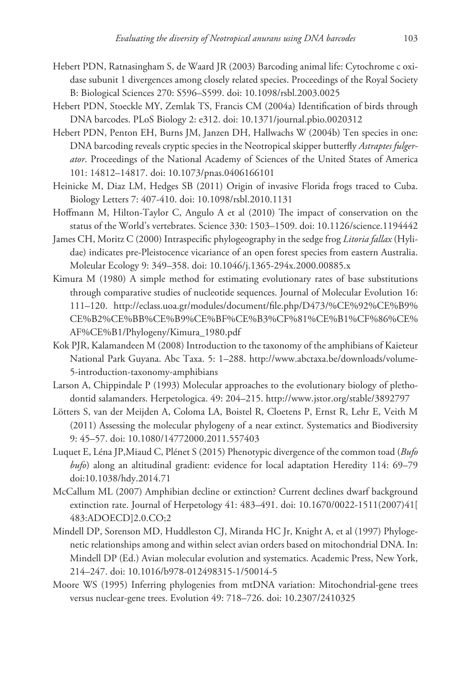- Hebert PDN, Ratnasingham S, de Waard JR (2003) Barcoding animal life: Cytochrome c oxidase subunit 1 divergences among closely related species. Proceedings of the Royal Society B: Biological Sciences 270: S596–S599. [doi: 10.1098/rsbl.2003.0025](https://doi.org/10.1098/rsbl.2003.0025)
- Hebert PDN, Stoeckle MY, Zemlak TS, Francis CM (2004a) Identification of birds through DNA barcodes. PLoS Biology 2: e312. [doi: 10.1371/journal.pbio.0020312](https://doi.org/10.1371/journal.pbio.0020312)
- Hebert PDN, Penton EH, Burns JM, Janzen DH, Hallwachs W (2004b) Ten species in one: DNA barcoding reveals cryptic species in the Neotropical skipper butterfly *Astraptes fulgerator*. Proceedings of the National Academy of Sciences of the United States of America 101: 14812–14817. [doi: 10.1073/pnas.0406166101](https://doi.org/10.1073/pnas.0406166101)
- Heinicke M, Diaz LM, Hedges SB (2011) Origin of invasive Florida frogs traced to Cuba. Biology Letters 7: 407-410. [doi: 10.1098/rsbl.2010.1131](https://doi.org/10.1098/rsbl.2010.1131)
- Hoffmann M, Hilton-Taylor C, Angulo A et al (2010) The impact of conservation on the status of the World's vertebrates. Science 330: 1503–1509. [doi: 10.1126/science.1194442](https://doi.org/10.1126/science.1194442)
- James CH, Moritz C (2000) Intraspecific phylogeography in the sedge frog *Litoria fallax* (Hylidae) indicates pre-Pleistocence vicariance of an open forest species from eastern Australia. Moleular Ecology 9: 349–358. [doi: 10.1046/j.1365-294x.2000.00885.x](https://doi.org/10.1046/j.1365-294x.2000.00885.x)
- Kimura M (1980) A simple method for estimating evolutionary rates of base substitutions through comparative studies of nucleotide sequences. Journal of Molecular Evolution 16: 111–120. [http://eclass.uoa.gr/modules/document/file.php/D473/%CE%92%CE%B9%](http://eclass.uoa.gr/modules/document/file.php/D473/%CE%92%CE%B9%CE%B2%CE%BB%CE%B9%CE%BF%CE%B3%CF%81%CE%B1%CF%86%CE%AF%CE%B1/Phylogeny/Kimura_1980.pdf) [CE%B2%CE%BB%CE%B9%CE%BF%CE%B3%CF%81%CE%B1%CF%86%CE%](http://eclass.uoa.gr/modules/document/file.php/D473/%CE%92%CE%B9%CE%B2%CE%BB%CE%B9%CE%BF%CE%B3%CF%81%CE%B1%CF%86%CE%AF%CE%B1/Phylogeny/Kimura_1980.pdf) [AF%CE%B1/Phylogeny/Kimura\\_1980.pdf](http://eclass.uoa.gr/modules/document/file.php/D473/%CE%92%CE%B9%CE%B2%CE%BB%CE%B9%CE%BF%CE%B3%CF%81%CE%B1%CF%86%CE%AF%CE%B1/Phylogeny/Kimura_1980.pdf)
- Kok PJR, Kalamandeen M (2008) Introduction to the taxonomy of the amphibians of Kaieteur National Park Guyana. Abc Taxa. 5: 1–288. [http://www.abctaxa.be/downloads/volume-](http://www.abctaxa.be/downloads/volume-5-introduction-taxonomy-amphibians)[5-introduction-taxonomy-amphibians](http://www.abctaxa.be/downloads/volume-5-introduction-taxonomy-amphibians)
- Larson A, Chippindale P (1993) Molecular approaches to the evolutionary biology of plethodontid salamanders. Herpetologica. 49: 204–215.<http://www.jstor.org/stable/3892797>
- Lötters S, van der Meijden A, Coloma LA, Boistel R, Cloetens P, Ernst R, Lehr E, Veith M (2011) Assessing the molecular phylogeny of a near extinct. Systematics and Biodiversity 9: 45–57. [doi: 10.1080/14772000.2011.557403](https://doi.org/10.1080/14772000.2011.557403)
- Luquet E, Léna JP,Miaud C, Plénet S (2015) Phenotypic divergence of the common toad (*Bufo bufo*) along an altitudinal gradient: evidence for local adaptation Heredity 114: 69–79 [doi:10.1038/hdy.2014.71](https://doi.org/10.1038/hdy.2014.71)
- McCallum ML (2007) Amphibian decline or extinction? Current declines dwarf background extinction rate. Journal of Herpetology 41: 483–491. [doi: 10.1670/0022-1511\(2007\)41\[](https://doi.org/10.1670/0022-1511(2007)4%C2%AD1%5B483:ADOECD%5D2.0.CO;2) [483:ADOECD\]2.0.CO;2](https://doi.org/10.1670/0022-1511(2007)4%C2%AD1%5B483:ADOECD%5D2.0.CO;2)
- Mindell DP, Sorenson MD, Huddleston CJ, Miranda HC Jr, Knight A, et al (1997) Phylogenetic relationships among and within select avian orders based on mitochondrial DNA. In: Mindell DP (Ed.) Avian molecular evolution and systematics. Academic Press, New York, 214–247. [doi: 10.1016/b978-012498315-1/50014-5](https://doi.org/10.1016/b978-012498315-1/50014-5)
- Moore WS (1995) Inferring phylogenies from mtDNA variation: Mitochondrial-gene trees versus nuclear-gene trees. Evolution 49: 718–726. [doi: 10.2307/2410325](https://doi.org/10.2307/2410325)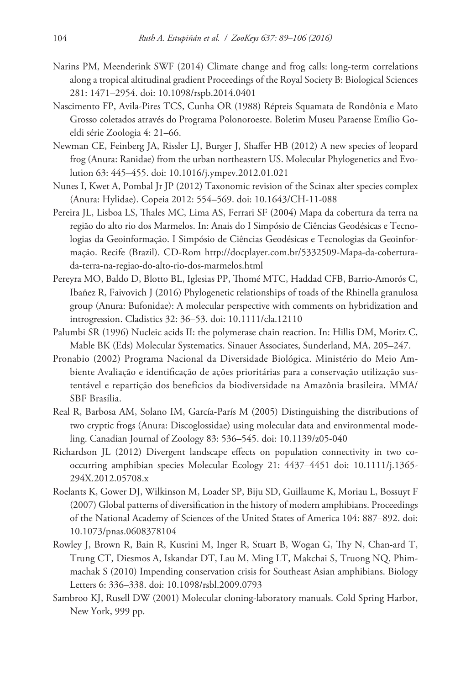- Narins PM, Meenderink SWF (2014) Climate change and frog calls: long-term correlations along a tropical altitudinal gradient Proceedings of the Royal Society B: Biological Sciences 281: 1471–2954. [doi: 10.1098/rspb.2014.0401](https://doi.org/10.1098/rspb.2014.0401)
- Nascimento FP, Avila-Pires TCS, Cunha OR (1988) Répteis Squamata de Rondônia e Mato Grosso coletados através do Programa Polonoroeste. Boletim Museu Paraense Emílio Goeldi série Zoologia 4: 21–66.
- Newman CE, Feinberg JA, Rissler LJ, Burger J, Shaffer HB (2012) A new species of leopard frog (Anura: Ranidae) from the urban northeastern US. Molecular Phylogenetics and Evolution 63: 445–455. [doi: 10.1016/j.ympev.2012.01.021](https://doi.org/10.1016/j.ympev.2012.01.021)
- Nunes I, Kwet A, Pombal Jr JP (2012) Taxonomic revision of the Scinax alter species complex (Anura: Hylidae). Copeia 2012: 554–569. [doi: 10.1643/CH-11-088](https://doi.org/10.1643/CH-11-088)
- Pereira JL, Lisboa LS, Thales MC, Lima AS, Ferrari SF (2004) Mapa da cobertura da terra na região do alto rio dos Marmelos. In: Anais do I Simpósio de Ciências Geodésicas e Tecnologias da Geoinformação. I Simpósio de Ciências Geodésicas e Tecnologias da Geoinformação. Recife (Brazil). CD-Rom [http://docplayer.com.br/5332509-Mapa-da-cobertura](http://docplayer.com.br/5332509-Mapa-da-cobertura-da-terra-na-regiao-do-alto-rio-dos-marmelos.html)[da-terra-na-regiao-do-alto-rio-dos-marmelos.html](http://docplayer.com.br/5332509-Mapa-da-cobertura-da-terra-na-regiao-do-alto-rio-dos-marmelos.html)
- Pereyra MO, Baldo D, Blotto BL, Iglesias PP, Thomé MTC, Haddad CFB, Barrio-Amorós C, Ibañez R, Faivovich J (2016) Phylogenetic relationships of toads of the Rhinella granulosa group (Anura: Bufonidae): A molecular perspective with comments on hybridization and introgression. Cladistics 32: 36–53. [doi: 10.1111/cla.12110](https://doi.org/10.1111/cla.12110)
- Palumbi SR (1996) Nucleic acids II: the polymerase chain reaction. In: Hillis DM, Moritz C, Mable BK (Eds) Molecular Systematics. Sinauer Associates, Sunderland, MA, 205–247.
- Pronabio (2002) Programa Nacional da Diversidade Biológica. Ministério do Meio Ambiente Avaliação e identificação de ações prioritárias para a conservação utilização sustentável e repartição dos benefícios da biodiversidade na Amazônia brasileira. MMA/ SBF Brasília.
- Real R, Barbosa AM, Solano IM, García-París M (2005) Distinguishing the distributions of two cryptic frogs (Anura: Discoglossidae) using molecular data and environmental modeling. Canadian Journal of Zoology 83: 536–545. [doi: 10.1139/z05-040](https://doi.org/10.1139/z05-040)
- Richardson JL (2012) Divergent landscape effects on population connectivity in two cooccurring amphibian species Molecular Ecology 21: 4437–4451 [doi: 10.1111/j.1365-](https://doi.org/10.1111/j.1365-294X.2012.05708.x) [294X.2012.05708.x](https://doi.org/10.1111/j.1365-294X.2012.05708.x)
- Roelants K, Gower DJ, Wilkinson M, Loader SP, Biju SD, Guillaume K, Moriau L, Bossuyt F (2007) Global patterns of diversification in the history of modern amphibians. Proceedings of the National Academy of Sciences of the United States of America 104: 887–892. [doi:](https://doi.org/10.1073/pnas.0608378104) [10.1073/pnas.0608378104](https://doi.org/10.1073/pnas.0608378104)
- Rowley J, Brown R, Bain R, Kusrini M, Inger R, Stuart B, Wogan G, Thy N, Chan-ard T, Trung CT, Diesmos A, Iskandar DT, Lau M, Ming LT, Makchai S, Truong NQ, Phimmachak S (2010) Impending conservation crisis for Southeast Asian amphibians. Biology Letters 6: 336–338. [doi: 10.1098/rsbl.2009.0793](https://doi.org/10.1098/rsbl.2009.0793)
- Sambroo KJ, Rusell DW (2001) Molecular cloning-laboratory manuals. Cold Spring Harbor, New York, 999 pp.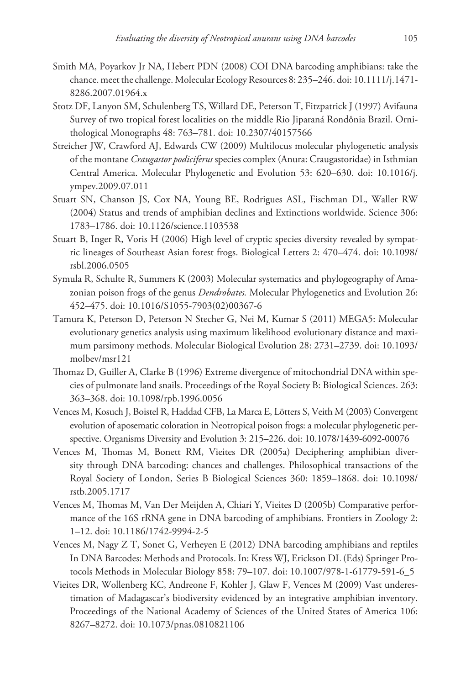- Smith MA, Poyarkov Jr NA, Hebert PDN (2008) COI DNA barcoding amphibians: take the chance. meet the challenge. Molecular Ecology Resources 8: 235–246. [doi: 10.1111/j.1471-](https://doi.org/10.1111/j.1471-8286.2007.01964.x) [8286.2007.01964.x](https://doi.org/10.1111/j.1471-8286.2007.01964.x)
- Stotz DF, Lanyon SM, Schulenberg TS, Willard DE, Peterson T, Fitzpatrick J (1997) Avifauna Survey of two tropical forest localities on the middle Rio Jiparaná Rondônia Brazil. Ornithological Monographs 48: 763–781. [doi: 10.2307/40157566](https://doi.org/10.2307/40157566)
- Streicher JW, Crawford AJ, Edwards CW (2009) Multilocus molecular phylogenetic analysis of the montane *Craugastor podiciferus* species complex (Anura: Craugastoridae) in Isthmian Central America. Molecular Phylogenetic and Evolution 53: 620–630. [doi: 10.1016/j.](https://doi.org/10.1016/j.ympev.2009.07.011) [ympev.2009.07.011](https://doi.org/10.1016/j.ympev.2009.07.011)
- Stuart SN, Chanson JS, Cox NA, Young BE, Rodrigues ASL, Fischman DL, Waller RW (2004) Status and trends of amphibian declines and Extinctions worldwide. Science 306: 1783–1786. [doi: 10.1126/science.1103538](https://doi.org/10.1126/science.1103538)
- Stuart B, Inger R, Voris H (2006) High level of cryptic species diversity revealed by sympatric lineages of Southeast Asian forest frogs. Biological Letters 2: 470–474. [doi: 10.1098/](https://doi.org/10.1098/rsbl.2006.0505) [rsbl.2006.0505](https://doi.org/10.1098/rsbl.2006.0505)
- Symula R, Schulte R, Summers K (2003) Molecular systematics and phylogeography of Amazonian poison frogs of the genus *Dendrobates.* Molecular Phylogenetics and Evolution 26: 452–475. [doi: 10.1016/S1055-7903\(02\)00367-6](https://doi.org/10.1016/S1055-7903(02)00367-6)
- Tamura K, Peterson D, Peterson N Stecher G, Nei M, Kumar S (2011) MEGA5: Molecular evolutionary genetics analysis using maximum likelihood evolutionary distance and maximum parsimony methods. Molecular Biological Evolution 28: 2731–2739. [doi: 10.1093/](https://doi.org/10.1093/molbev/msr121) [molbev/msr121](https://doi.org/10.1093/molbev/msr121)
- Thomaz D, Guiller A, Clarke B (1996) Extreme divergence of mitochondrial DNA within species of pulmonate land snails. Proceedings of the Royal Society B: Biological Sciences. 263: 363–368. [doi: 10.1098/rpb.1996.0056](https://doi.org/10.1098/rpb.1996.0056)
- Vences M, Kosuch J, Boistel R, Haddad CFB, La Marca E, Lötters S, Veith M (2003) Convergent evolution of aposematic coloration in Neotropical poison frogs: a molecular phylogenetic perspective. Organisms Diversity and Evolution 3: 215–226. [doi: 10.1078/1439-6092-00076](https://doi.org/10.1078/1439-6092-00076)
- Vences M, Thomas M, Bonett RM, Vieites DR (2005a) Deciphering amphibian diversity through DNA barcoding: chances and challenges. Philosophical transactions of the Royal Society of London, Series B Biological Sciences 360: 1859–1868. [doi: 10.1098/](https://doi.org/10.1098/rstb.2005.1717) [rstb.2005.1717](https://doi.org/10.1098/rstb.2005.1717)
- Vences M, Thomas M, Van Der Meijden A, Chiari Y, Vieites D (2005b) Comparative performance of the 16S rRNA gene in DNA barcoding of amphibians. Frontiers in Zoology 2: 1–12. [doi: 10.1186/1742-9994-2-5](https://doi.org/10.1186/1742-9994-2-5)
- Vences M, Nagy Z T, Sonet G, Verheyen E (2012) DNA barcoding amphibians and reptiles In DNA Barcodes: Methods and Protocols. In: Kress WJ, Erickson DL (Eds) Springer Protocols Methods in Molecular Biology 858: 79–107. [doi: 10.1007/978-1-61779-591-6\\_5](https://doi.org/10.1007/978-1-61779-591-6_5)
- Vieites DR, Wollenberg KC, Andreone F, Kohler J, Glaw F, Vences M (2009) Vast underestimation of Madagascar's biodiversity evidenced by an integrative amphibian inventory. Proceedings of the National Academy of Sciences of the United States of America 106: 8267–8272. [doi: 10.1073/pnas.0810821106](https://doi.org/10.1073/pnas.0810821106)